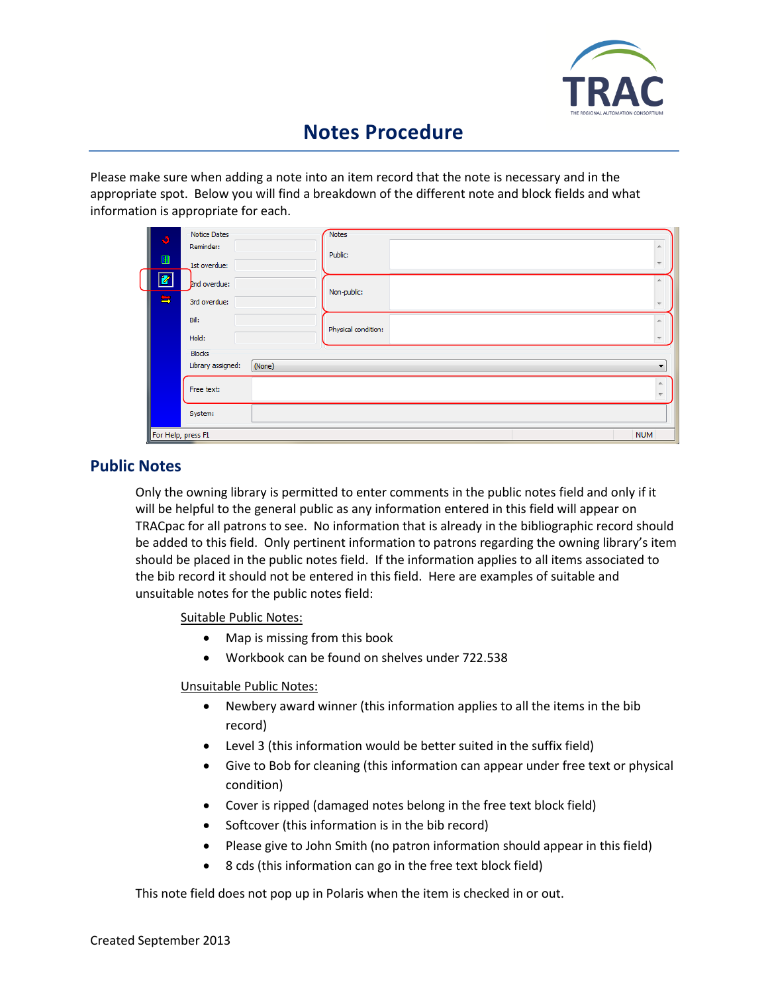

# **Notes Procedure**

Please make sure when adding a note into an item record that the note is necessary and in the appropriate spot. Below you will find a breakdown of the different note and block fields and what information is appropriate for each.

| $\mathbf{5}$<br>$\blacksquare$<br>$\mathbf{z}$<br>5 | Notice Dates<br>Reminder:<br>1st overdue:<br>2nd overdue:<br>3rd overdue: |        | <b>Notes</b><br>Public: |
|-----------------------------------------------------|---------------------------------------------------------------------------|--------|-------------------------|
|                                                     |                                                                           |        | Non-public:             |
|                                                     | Bill:<br>Hold:                                                            |        | Physical condition:     |
|                                                     | <b>Blocks</b><br>Library assigned:                                        | (None) |                         |
|                                                     | Free text:                                                                |        |                         |
| For Help, press F1                                  | System:                                                                   |        | <b>NUM</b>              |

## **Public Notes**

Only the owning library is permitted to enter comments in the public notes field and only if it will be helpful to the general public as any information entered in this field will appear on TRACpac for all patrons to see. No information that is already in the bibliographic record should be added to this field. Only pertinent information to patrons regarding the owning library's item should be placed in the public notes field. If the information applies to all items associated to the bib record it should not be entered in this field. Here are examples of suitable and unsuitable notes for the public notes field:

Suitable Public Notes:

- Map is missing from this book
- Workbook can be found on shelves under 722.538

Unsuitable Public Notes:

- Newbery award winner (this information applies to all the items in the bib record)
- Level 3 (this information would be better suited in the suffix field)
- Give to Bob for cleaning (this information can appear under free text or physical condition)
- Cover is ripped (damaged notes belong in the free text block field)
- Softcover (this information is in the bib record)
- Please give to John Smith (no patron information should appear in this field)
- 8 cds (this information can go in the free text block field)

This note field does not pop up in Polaris when the item is checked in or out.